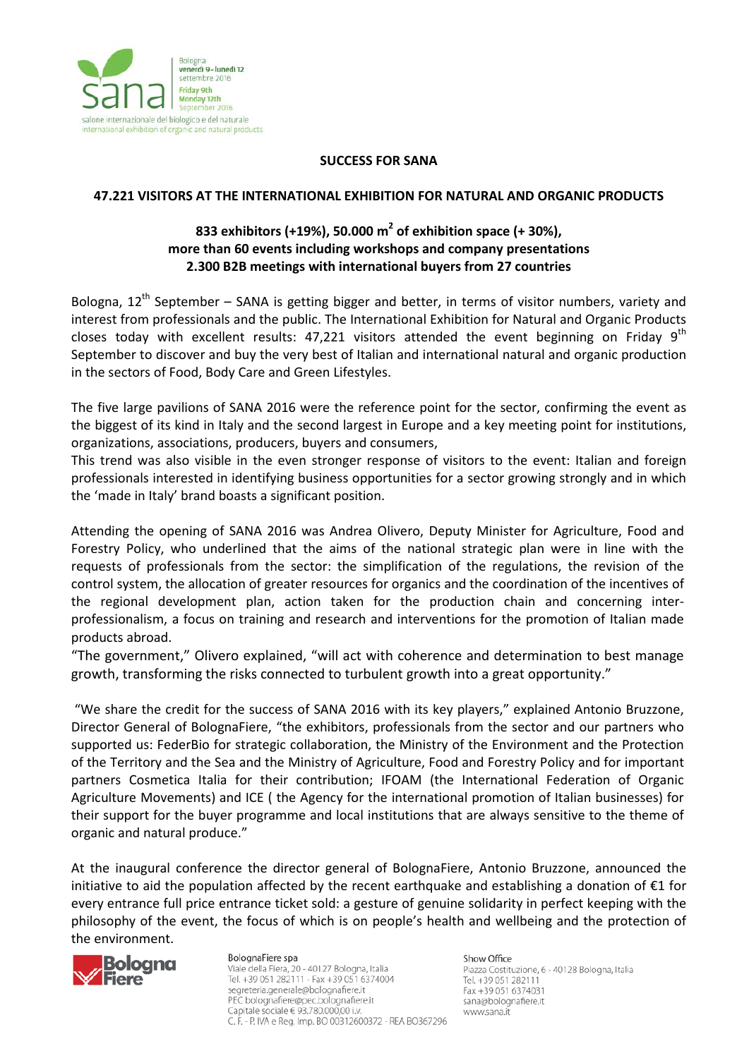

## **SUCCESS FOR SANA**

## **47.221 VISITORS AT THE INTERNATIONAL EXHIBITION FOR NATURAL AND ORGANIC PRODUCTS**

## **833 exhibitors (+19%), 50.000 m2 of exhibition space (+ 30%), more than 60 events including workshops and company presentations 2.300 B2B meetings with international buyers from 27 countries**

Bologna,  $12^{th}$  September – SANA is getting bigger and better, in terms of visitor numbers, variety and interest from professionals and the public. The International Exhibition for Natural and Organic Products closes today with excellent results: 47,221 visitors attended the event beginning on Friday  $9<sup>th</sup>$ September to discover and buy the very best of Italian and international natural and organic production in the sectors of Food, Body Care and Green Lifestyles.

The five large pavilions of SANA 2016 were the reference point for the sector, confirming the event as the biggest of its kind in Italy and the second largest in Europe and a key meeting point for institutions, organizations, associations, producers, buyers and consumers,

This trend was also visible in the even stronger response of visitors to the event: Italian and foreign professionals interested in identifying business opportunities for a sector growing strongly and in which the 'made in Italy' brand boasts a significant position.

Attending the opening of SANA 2016 was Andrea Olivero, Deputy Minister for Agriculture, Food and Forestry Policy, who underlined that the aims of the national strategic plan were in line with the requests of professionals from the sector: the simplification of the regulations, the revision of the control system, the allocation of greater resources for organics and the coordination of the incentives of the regional development plan, action taken for the production chain and concerning interprofessionalism, a focus on training and research and interventions for the promotion of Italian made products abroad.

"The government," Olivero explained, "will act with coherence and determination to best manage growth, transforming the risks connected to turbulent growth into a great opportunity."

"We share the credit for the success of SANA 2016 with its key players," explained Antonio Bruzzone, Director General of BolognaFiere, "the exhibitors, professionals from the sector and our partners who supported us: FederBio for strategic collaboration, the Ministry of the Environment and the Protection of the Territory and the Sea and the Ministry of Agriculture, Food and Forestry Policy and for important partners Cosmetica Italia for their contribution; IFOAM (the International Federation of Organic Agriculture Movements) and ICE ( the Agency for the international promotion of Italian businesses) for their support for the buyer programme and local institutions that are always sensitive to the theme of organic and natural produce."

At the inaugural conference the director general of BolognaFiere, Antonio Bruzzone, announced the initiative to aid the population affected by the recent earthquake and establishing a donation of €1 for every entrance full price entrance ticket sold: a gesture of genuine solidarity in perfect keeping with the philosophy of the event, the focus of which is on people's health and wellbeing and the protection of the environment.



BolognaFiere spa Viale della Fiera, 20 - 40127 Bologna, Italia Tel. +39 051 282111 - Fax +39 051 6374004 segreteria.generale@bolognafiere.it PEC bolognafiere@pec.bolognafiere.it Capitale sociale € 93.780.000,00 i.v. C. F. - P. IVA e Reg. Imp. BO 00312600372 - REA BO367296 Show Office

Piazza Costituzione, 6 - 40128 Bologna, Italia Tel. +39 051 282111 Fax +39 051 6374031 sana@bolognafiere.it www.sana.it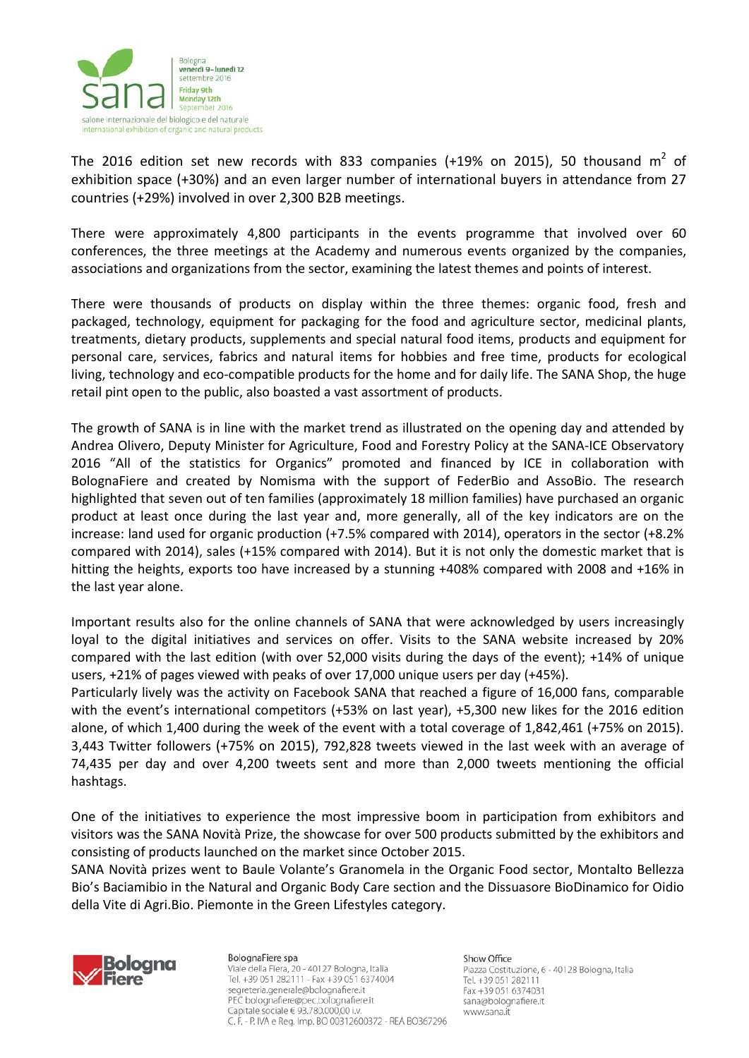

The 2016 edition set new records with 833 companies (+19% on 2015), 50 thousand  $m^2$  of exhibition space (+30%) and an even larger number of international buyers in attendance from 27 countries (+29%) involved in over 2,300 B2B meetings.

There were approximately 4,800 participants in the events programme that involved over 60 conferences, the three meetings at the Academy and numerous events organized by the companies, associations and organizations from the sector, examining the latest themes and points of interest.

There were thousands of products on display within the three themes: organic food, fresh and packaged, technology, equipment for packaging for the food and agriculture sector, medicinal plants, treatments, dietary products, supplements and special natural food items, products and equipment for personal care, services, fabrics and natural items for hobbies and free time, products for ecological living, technology and eco-compatible products for the home and for daily life. The SANA Shop, the huge retail pint open to the public, also boasted a vast assortment of products.

The growth of SANA is in line with the market trend as illustrated on the opening day and attended by Andrea Olivero, Deputy Minister for Agriculture, Food and Forestry Policy at the SANA-ICE Observatory 2016 "All of the statistics for Organics" promoted and financed by ICE in collaboration with BolognaFiere and created by Nomisma with the support of FederBio and AssoBio. The research highlighted that seven out of ten families (approximately 18 million families) have purchased an organic product at least once during the last year and, more generally, all of the key indicators are on the increase: land used for organic production (+7.5% compared with 2014), operators in the sector (+8.2% compared with 2014), sales (+15% compared with 2014). But it is not only the domestic market that is hitting the heights, exports too have increased by a stunning +408% compared with 2008 and +16% in the last year alone.

Important results also for the online channels of SANA that were acknowledged by users increasingly loyal to the digital initiatives and services on offer. Visits to the SANA website increased by 20% compared with the last edition (with over 52,000 visits during the days of the event); +14% of unique users, +21% of pages viewed with peaks of over 17,000 unique users per day (+45%).

Particularly lively was the activity on Facebook SANA that reached a figure of 16,000 fans, comparable with the event's international competitors (+53% on last year), +5,300 new likes for the 2016 edition alone, of which 1,400 during the week of the event with a total coverage of 1,842,461 (+75% on 2015). 3,443 Twitter followers (+75% on 2015), 792,828 tweets viewed in the last week with an average of 74,435 per day and over 4,200 tweets sent and more than 2,000 tweets mentioning the official hashtags.

One of the initiatives to experience the most impressive boom in participation from exhibitors and visitors was the SANA Novità Prize, the showcase for over 500 products submitted by the exhibitors and consisting of products launched on the market since October 2015.

SANA Novità prizes went to Baule Volante's Granomela in the Organic Food sector, Montalto Bellezza Bio's Baciamibio in the Natural and Organic Body Care section and the Dissuasore BioDinamico for Oidio della Vite di Agri.Bio. Piemonte in the Green Lifestyles category.



BolognaFiere spa Viale della Fiera, 20 - 40127 Bologna, Italia Tel. +39 051 282111 - Fax +39 051 6374004 segreteria.generale@bolognafiere.it PEC bolognafiere@pec.bolognafiere.it Capitale sociale € 93.780.000,00 i.v. C. F. - P. IVA e Reg. Imp. BO 00312600372 - REA BO367296 Show Office

Piazza Costituzione, 6 - 40128 Bologna, Italia Tel. +39 051 282111 Fax +39 051 6374031 sana@bolognafiere.it www.sana.it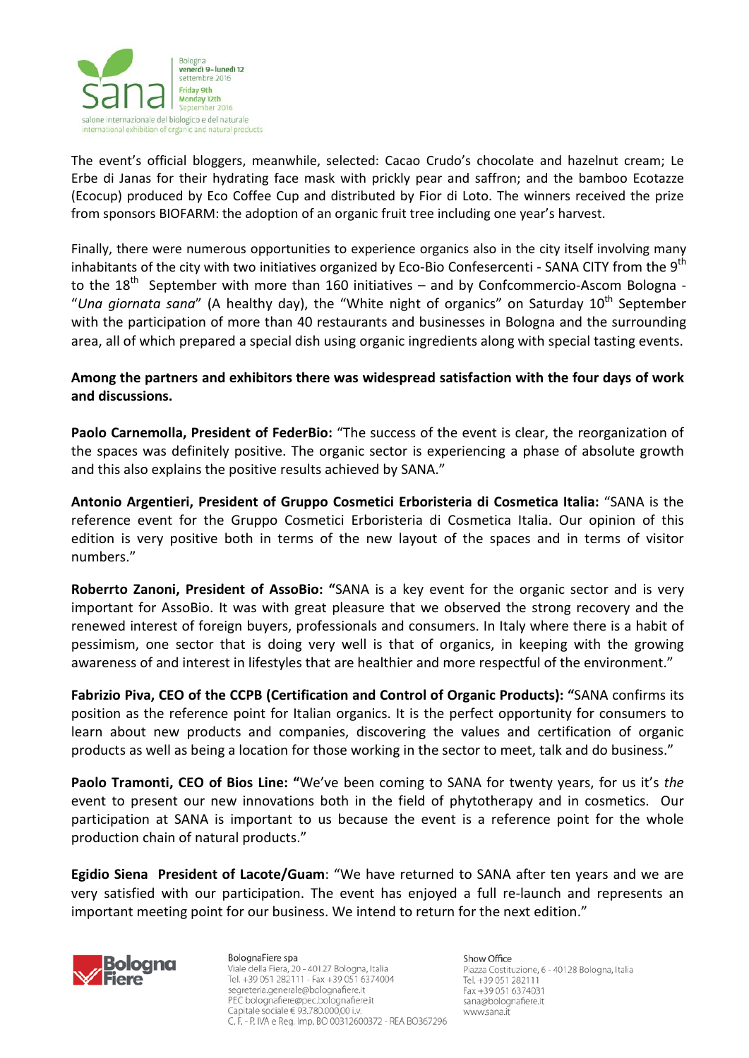

The event's official bloggers, meanwhile, selected: Cacao Crudo's chocolate and hazelnut cream; Le Erbe di Janas for their hydrating face mask with prickly pear and saffron; and the bamboo Ecotazze (Ecocup) produced by Eco Coffee Cup and distributed by Fior di Loto. The winners received the prize from sponsors BIOFARM: the adoption of an organic fruit tree including one year's harvest.

Finally, there were numerous opportunities to experience organics also in the city itself involving many inhabitants of the city with two initiatives organized by Eco-Bio Confesercenti - SANA CITY from the 9<sup>th</sup> to the  $18<sup>th</sup>$  September with more than 160 initiatives – and by Confcommercio-Ascom Bologna -"Una giornata sana" (A healthy day), the "White night of organics" on Saturday 10<sup>th</sup> September with the participation of more than 40 restaurants and businesses in Bologna and the surrounding area, all of which prepared a special dish using organic ingredients along with special tasting events.

## **Among the partners and exhibitors there was widespread satisfaction with the four days of work and discussions.**

**Paolo Carnemolla, President of FederBio:** "The success of the event is clear, the reorganization of the spaces was definitely positive. The organic sector is experiencing a phase of absolute growth and this also explains the positive results achieved by SANA."

**Antonio Argentieri, President of Gruppo Cosmetici Erboristeria di Cosmetica Italia:** "SANA is the reference event for the Gruppo Cosmetici Erboristeria di Cosmetica Italia. Our opinion of this edition is very positive both in terms of the new layout of the spaces and in terms of visitor numbers."

**Roberrto Zanoni, President of AssoBio: "**SANA is a key event for the organic sector and is very important for AssoBio. It was with great pleasure that we observed the strong recovery and the renewed interest of foreign buyers, professionals and consumers. In Italy where there is a habit of pessimism, one sector that is doing very well is that of organics, in keeping with the growing awareness of and interest in lifestyles that are healthier and more respectful of the environment."

**Fabrizio Piva, CEO of the CCPB (Certification and Control of Organic Products): "**SANA confirms its position as the reference point for Italian organics. It is the perfect opportunity for consumers to learn about new products and companies, discovering the values and certification of organic products as well as being a location for those working in the sector to meet, talk and do business."

**Paolo Tramonti, CEO of Bios Line: "**We've been coming to SANA for twenty years, for us it's *the* event to present our new innovations both in the field of phytotherapy and in cosmetics. Our participation at SANA is important to us because the event is a reference point for the whole production chain of natural products."

**Egidio Siena President of Lacote/Guam**: "We have returned to SANA after ten years and we are very satisfied with our participation. The event has enjoyed a full re-launch and represents an important meeting point for our business. We intend to return for the next edition."



BolognaFiere spa Viale della Fiera, 20 - 40127 Bologna, Italia Tel. +39 051 282111 - Fax +39 051 6374004 segreteria.generale@bolognafiere.it PEC bolognafiere@pec.bolognafiere.it Capitale sociale € 93.780.000,00 i.v. C. F. - P. IVA e Reg. Imp. BO 00312600372 - REA BO367296 Show Office Piazza Costituzione, 6 - 40128 Bologna, Italia Tel. +39 051 282111 Fax +39 051 6374031 sana@bolognafiere.it www.sana.it